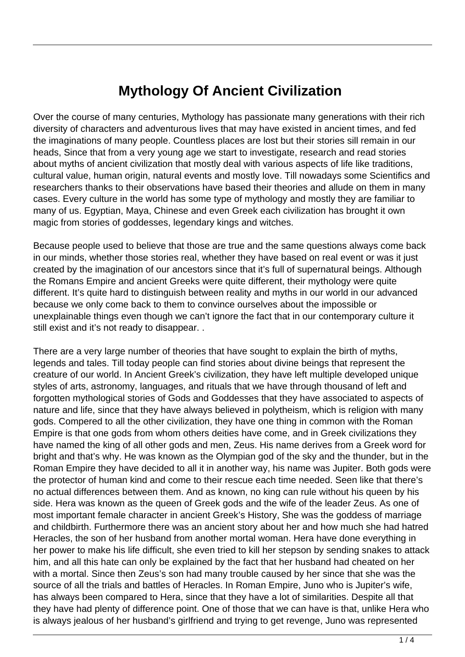## **Mythology Of Ancient Civilization**

Over the course of many centuries, Mythology has passionate many generations with their rich diversity of characters and adventurous lives that may have existed in ancient times, and fed the imaginations of many people. Countless places are lost but their stories sill remain in our heads, Since that from a very young age we start to investigate, research and read stories about myths of ancient civilization that mostly deal with various aspects of life like traditions, cultural value, human origin, natural events and mostly love. Till nowadays some Scientifics and researchers thanks to their observations have based their theories and allude on them in many cases. Every culture in the world has some type of mythology and mostly they are familiar to many of us. Egyptian, Maya, Chinese and even Greek each civilization has brought it own magic from stories of goddesses, legendary kings and witches.

Because people used to believe that those are true and the same questions always come back in our minds, whether those stories real, whether they have based on real event or was it just created by the imagination of our ancestors since that it's full of supernatural beings. Although the Romans Empire and ancient Greeks were quite different, their mythology were quite different. It's quite hard to distinguish between reality and myths in our world in our advanced because we only come back to them to convince ourselves about the impossible or unexplainable things even though we can't ignore the fact that in our contemporary culture it still exist and it's not ready to disappear. .

There are a very large number of theories that have sought to explain the birth of myths, legends and tales. Till today people can find stories about divine beings that represent the creature of our world. In Ancient Greek's civilization, they have left multiple developed unique styles of arts, astronomy, languages, and rituals that we have through thousand of left and forgotten mythological stories of Gods and Goddesses that they have associated to aspects of nature and life, since that they have always believed in polytheism, which is religion with many gods. Compered to all the other civilization, they have one thing in common with the Roman Empire is that one gods from whom others deities have come, and in Greek civilizations they have named the king of all other gods and men, Zeus. His name derives from a Greek word for bright and that's why. He was known as the Olympian god of the sky and the thunder, but in the Roman Empire they have decided to all it in another way, his name was Jupiter. Both gods were the protector of human kind and come to their rescue each time needed. Seen like that there's no actual differences between them. And as known, no king can rule without his queen by his side. Hera was known as the queen of Greek gods and the wife of the leader Zeus. As one of most important female character in ancient Greek's History, She was the goddess of marriage and childbirth. Furthermore there was an ancient story about her and how much she had hatred Heracles, the son of her husband from another mortal woman. Hera have done everything in her power to make his life difficult, she even tried to kill her stepson by sending snakes to attack him, and all this hate can only be explained by the fact that her husband had cheated on her with a mortal. Since then Zeus's son had many trouble caused by her since that she was the source of all the trials and battles of Heracles. In Roman Empire, Juno who is Jupiter's wife, has always been compared to Hera, since that they have a lot of similarities. Despite all that they have had plenty of difference point. One of those that we can have is that, unlike Hera who is always jealous of her husband's girlfriend and trying to get revenge, Juno was represented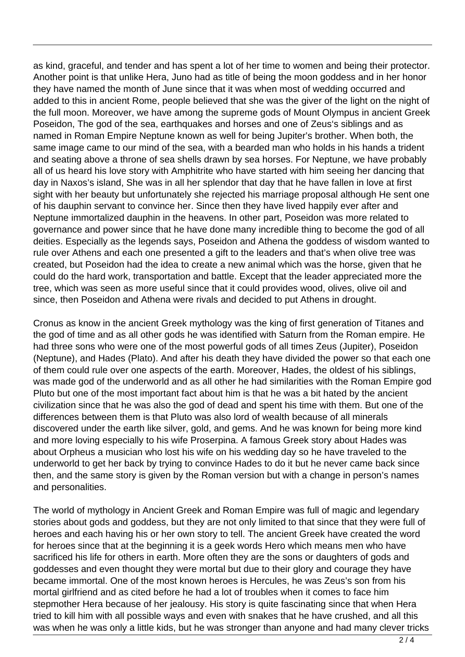as kind, graceful, and tender and has spent a lot of her time to women and being their protector. Another point is that unlike Hera, Juno had as title of being the moon goddess and in her honor they have named the month of June since that it was when most of wedding occurred and added to this in ancient Rome, people believed that she was the giver of the light on the night of the full moon. Moreover, we have among the supreme gods of Mount Olympus in ancient Greek Poseidon, The god of the sea, earthquakes and horses and one of Zeus's siblings and as named in Roman Empire Neptune known as well for being Jupiter's brother. When both, the same image came to our mind of the sea, with a bearded man who holds in his hands a trident and seating above a throne of sea shells drawn by sea horses. For Neptune, we have probably all of us heard his love story with Amphitrite who have started with him seeing her dancing that day in Naxos's island, She was in all her splendor that day that he have fallen in love at first sight with her beauty but unfortunately she rejected his marriage proposal although He sent one of his dauphin servant to convince her. Since then they have lived happily ever after and Neptune immortalized dauphin in the heavens. In other part, Poseidon was more related to governance and power since that he have done many incredible thing to become the god of all deities. Especially as the legends says, Poseidon and Athena the goddess of wisdom wanted to rule over Athens and each one presented a gift to the leaders and that's when olive tree was created, but Poseidon had the idea to create a new animal which was the horse, given that he could do the hard work, transportation and battle. Except that the leader appreciated more the tree, which was seen as more useful since that it could provides wood, olives, olive oil and since, then Poseidon and Athena were rivals and decided to put Athens in drought.

Cronus as know in the ancient Greek mythology was the king of first generation of Titanes and the god of time and as all other gods he was identified with Saturn from the Roman empire. He had three sons who were one of the most powerful gods of all times Zeus (Jupiter), Poseidon (Neptune), and Hades (Plato). And after his death they have divided the power so that each one of them could rule over one aspects of the earth. Moreover, Hades, the oldest of his siblings, was made god of the underworld and as all other he had similarities with the Roman Empire god Pluto but one of the most important fact about him is that he was a bit hated by the ancient civilization since that he was also the god of dead and spent his time with them. But one of the differences between them is that Pluto was also lord of wealth because of all minerals discovered under the earth like silver, gold, and gems. And he was known for being more kind and more loving especially to his wife Proserpina. A famous Greek story about Hades was about Orpheus a musician who lost his wife on his wedding day so he have traveled to the underworld to get her back by trying to convince Hades to do it but he never came back since then, and the same story is given by the Roman version but with a change in person's names and personalities.

The world of mythology in Ancient Greek and Roman Empire was full of magic and legendary stories about gods and goddess, but they are not only limited to that since that they were full of heroes and each having his or her own story to tell. The ancient Greek have created the word for heroes since that at the beginning it is a geek words Hero which means men who have sacrificed his life for others in earth. More often they are the sons or daughters of gods and goddesses and even thought they were mortal but due to their glory and courage they have became immortal. One of the most known heroes is Hercules, he was Zeus's son from his mortal girlfriend and as cited before he had a lot of troubles when it comes to face him stepmother Hera because of her jealousy. His story is quite fascinating since that when Hera tried to kill him with all possible ways and even with snakes that he have crushed, and all this was when he was only a little kids, but he was stronger than anyone and had many clever tricks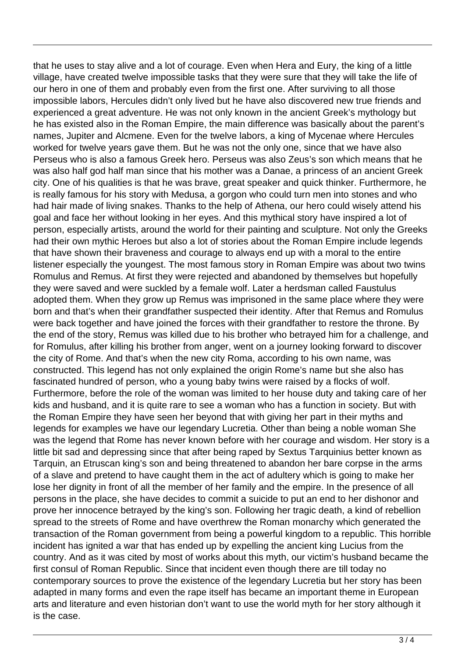that he uses to stay alive and a lot of courage. Even when Hera and Eury, the king of a little village, have created twelve impossible tasks that they were sure that they will take the life of our hero in one of them and probably even from the first one. After surviving to all those impossible labors, Hercules didn't only lived but he have also discovered new true friends and experienced a great adventure. He was not only known in the ancient Greek's mythology but he has existed also in the Roman Empire, the main difference was basically about the parent's names, Jupiter and Alcmene. Even for the twelve labors, a king of Mycenae where Hercules worked for twelve years gave them. But he was not the only one, since that we have also Perseus who is also a famous Greek hero. Perseus was also Zeus's son which means that he was also half god half man since that his mother was a Danae, a princess of an ancient Greek city. One of his qualities is that he was brave, great speaker and quick thinker. Furthermore, he is really famous for his story with Medusa, a gorgon who could turn men into stones and who had hair made of living snakes. Thanks to the help of Athena, our hero could wisely attend his goal and face her without looking in her eyes. And this mythical story have inspired a lot of person, especially artists, around the world for their painting and sculpture. Not only the Greeks had their own mythic Heroes but also a lot of stories about the Roman Empire include legends that have shown their braveness and courage to always end up with a moral to the entire listener especially the youngest. The most famous story in Roman Empire was about two twins Romulus and Remus. At first they were rejected and abandoned by themselves but hopefully they were saved and were suckled by a female wolf. Later a herdsman called Faustulus adopted them. When they grow up Remus was imprisoned in the same place where they were born and that's when their grandfather suspected their identity. After that Remus and Romulus were back together and have joined the forces with their grandfather to restore the throne. By the end of the story, Remus was killed due to his brother who betrayed him for a challenge, and for Romulus, after killing his brother from anger, went on a journey looking forward to discover the city of Rome. And that's when the new city Roma, according to his own name, was constructed. This legend has not only explained the origin Rome's name but she also has fascinated hundred of person, who a young baby twins were raised by a flocks of wolf. Furthermore, before the role of the woman was limited to her house duty and taking care of her kids and husband, and it is quite rare to see a woman who has a function in society. But with the Roman Empire they have seen her beyond that with giving her part in their myths and legends for examples we have our legendary Lucretia. Other than being a noble woman She was the legend that Rome has never known before with her courage and wisdom. Her story is a little bit sad and depressing since that after being raped by Sextus Tarquinius better known as Tarquin, an Etruscan king's son and being threatened to abandon her bare corpse in the arms of a slave and pretend to have caught them in the act of adultery which is going to make her lose her dignity in front of all the member of her family and the empire. In the presence of all persons in the place, she have decides to commit a suicide to put an end to her dishonor and prove her innocence betrayed by the king's son. Following her tragic death, a kind of rebellion spread to the streets of Rome and have overthrew the Roman monarchy which generated the transaction of the Roman government from being a powerful kingdom to a republic. This horrible incident has ignited a war that has ended up by expelling the ancient king Lucius from the country. And as it was cited by most of works about this myth, our victim's husband became the first consul of Roman Republic. Since that incident even though there are till today no contemporary sources to prove the existence of the legendary Lucretia but her story has been adapted in many forms and even the rape itself has became an important theme in European arts and literature and even historian don't want to use the world myth for her story although it is the case.